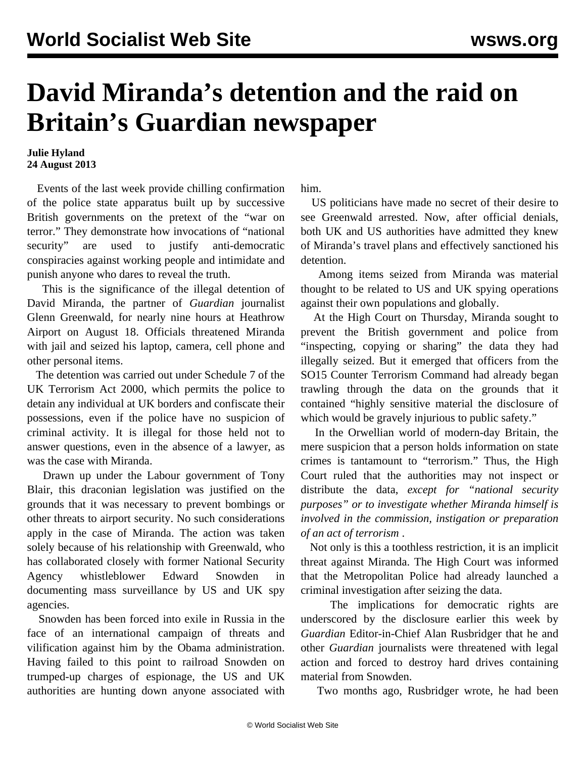## **David Miranda's detention and the raid on Britain's Guardian newspaper**

## **Julie Hyland 24 August 2013**

 Events of the last week provide chilling confirmation of the police state apparatus built up by successive British governments on the pretext of the "war on terror." They demonstrate how invocations of "national security" are used to justify anti-democratic conspiracies against working people and intimidate and punish anyone who dares to reveal the truth.

 This is the significance of the illegal detention of David Miranda, the partner of *Guardian* journalist Glenn Greenwald, for nearly nine hours at Heathrow Airport on August 18. Officials threatened Miranda with jail and seized his laptop, camera, cell phone and other personal items.

 The detention was carried out under Schedule 7 of the UK Terrorism Act 2000, which permits the police to detain any individual at UK borders and confiscate their possessions, even if the police have no suspicion of criminal activity. It is illegal for those held not to answer questions, even in the absence of a lawyer, as was the case with Miranda.

 Drawn up under the Labour government of Tony Blair, this draconian legislation was justified on the grounds that it was necessary to prevent bombings or other threats to airport security. No such considerations apply in the case of Miranda. The action was taken solely because of his relationship with Greenwald, who has collaborated closely with former National Security Agency whistleblower Edward Snowden in documenting mass surveillance by US and UK spy agencies.

 Snowden has been forced into exile in Russia in the face of an international campaign of threats and vilification against him by the Obama administration. Having failed to this point to railroad Snowden on trumped-up charges of espionage, the US and UK authorities are hunting down anyone associated with him.

 US politicians have made no secret of their desire to see Greenwald arrested. Now, after official denials, both UK and US authorities have admitted they knew of Miranda's travel plans and effectively sanctioned his detention.

 Among items seized from Miranda was material thought to be related to US and UK spying operations against their own populations and globally.

 At the High Court on Thursday, Miranda sought to prevent the British government and police from "inspecting, copying or sharing" the data they had illegally seized. But it emerged that officers from the SO15 Counter Terrorism Command had already began trawling through the data on the grounds that it contained "highly sensitive material the disclosure of which would be gravely injurious to public safety."

 In the Orwellian world of modern-day Britain, the mere suspicion that a person holds information on state crimes is tantamount to "terrorism." Thus, the High Court ruled that the authorities may not inspect or distribute the data, *except for "national security purposes" or to investigate whether Miranda himself is involved in the commission, instigation or preparation of an act of terrorism* .

 Not only is this a toothless restriction, it is an implicit threat against Miranda. The High Court was informed that the Metropolitan Police had already launched a criminal investigation after seizing the data.

 The implications for democratic rights are underscored by the disclosure earlier this week by *Guardian* Editor-in-Chief Alan Rusbridger that he and other *Guardian* journalists were threatened with legal action and forced to destroy hard drives containing material from Snowden.

Two months ago, Rusbridger wrote, he had been